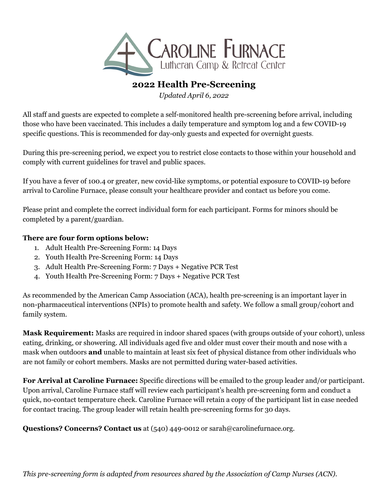

### **2022 Health Pre-Screening**

*Updated April 6, 2022*

All staff and guests are expected to complete a self-monitored health pre-screening before arrival, including those who have been vaccinated. This includes a daily temperature and symptom log and a few COVID-19 specific questions. This is recommended for day-only guests and expected for overnight guests.

During this pre-screening period, we expect you to restrict close contacts to those within your household and comply with current guidelines for travel and public spaces.

If you have a fever of 100.4 or greater, new covid-like symptoms, or potential exposure to COVID-19 before arrival to Caroline Furnace, please consult your healthcare provider and contact us before you come.

Please print and complete the correct individual form for each participant. Forms for minors should be completed by a parent/guardian.

### **There are four form options below:**

- 1. Adult Health Pre-Screening Form: 14 Days
- 2. Youth Health Pre-Screening Form: 14 Days
- 3. Adult Health Pre-Screening Form: 7 Days + Negative PCR Test
- 4. Youth Health Pre-Screening Form: 7 Days + Negative PCR Test

As recommended by the American Camp Association (ACA), health pre-screening is an important layer in non-pharmaceutical interventions (NPIs) to promote health and safety. We follow a small group/cohort and family system.

**Mask Requirement:** Masks are required in indoor shared spaces (with groups outside of your cohort), unless eating, drinking, or showering. All individuals aged five and older must cover their mouth and nose with a mask when outdoors **and** unable to maintain at least six feet of physical distance from other individuals who are not family or cohort members. Masks are not permitted during water-based activities.

**For Arrival at Caroline Furnace:** Specific directions will be emailed to the group leader and/or participant. Upon arrival, Caroline Furnace staff will review each participant's health pre-screening form and conduct a quick, no-contact temperature check. Caroline Furnace will retain a copy of the participant list in case needed for contact tracing. The group leader will retain health pre-screening forms for 30 days.

**Questions? Concerns? Contact us** at (540) 449-0012 or sarah@carolinefurnace.org.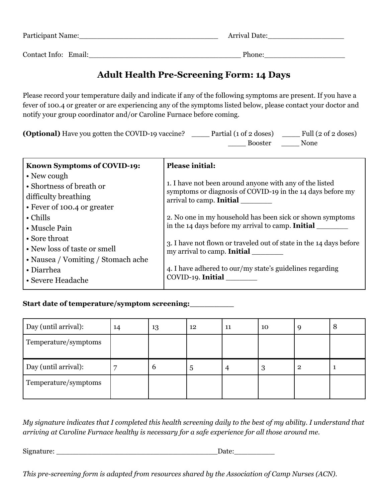| Participant Name:    | <b>Arrival Date:</b> |
|----------------------|----------------------|
| Contact Info: Email: | Phone:               |

# **Adult Health Pre-Screening Form: 14 Days**

Please record your temperature daily and indicate if any of the following symptoms are present. If you have a fever of 100.4 or greater or are experiencing any of the symptoms listed below, please contact your doctor and notify your group coordinator and/or Caroline Furnace before coming.

| <b>(Optional)</b> Have you gotten the COVID-19 vaccine? | Partial (1 of 2 doses) | Full $(2 \text{ of } 2 \text{ doses})$ |
|---------------------------------------------------------|------------------------|----------------------------------------|
|                                                         | <b>Booster</b>         | None                                   |

| Known Symptoms of COVID-19:        | <b>Please initial:</b>                                                                                                |
|------------------------------------|-----------------------------------------------------------------------------------------------------------------------|
| • New cough                        |                                                                                                                       |
| • Shortness of breath or           | 1. I have not been around anyone with any of the listed<br>symptoms or diagnosis of COVID-19 in the 14 days before my |
| difficulty breathing               | arrival to camp. Initial                                                                                              |
| • Fever of 100.4 or greater        |                                                                                                                       |
| $\cdot$ Chills                     | 2. No one in my household has been sick or shown symptoms                                                             |
| • Muscle Pain                      | in the 14 days before my arrival to camp. <b>Initial</b>                                                              |
| • Sore throat                      | 3. I have not flown or traveled out of state in the 14 days before                                                    |
| • New loss of taste or smell       | my arrival to camp. <b>Initial</b>                                                                                    |
| • Nausea / Vomiting / Stomach ache |                                                                                                                       |
| • Diarrhea                         | 4. I have adhered to our/my state's guidelines regarding                                                              |
| • Severe Headache                  | COVID-19. Initial                                                                                                     |

### **Start date of temperature/symptom screening:\_\_\_\_\_\_\_\_\_**

| Day (until arrival): | 14 | 13            | 12 | 11 | 10 |   | 8 |
|----------------------|----|---------------|----|----|----|---|---|
| Temperature/symptoms |    |               |    |    |    |   |   |
| Day (until arrival): |    | $\mathfrak b$ | 5  | 4  | 3  | റ |   |
| Temperature/symptoms |    |               |    |    |    |   |   |

My signature indicates that I completed this health screening daily to the best of my ability. I understand that *arriving at Caroline Furnace healthy is necessary for a safe experience for all those around me.*

Signature: \_\_\_\_\_\_\_\_\_\_\_\_\_\_\_\_\_\_\_\_\_\_\_\_\_\_\_\_\_\_\_\_\_\_\_\_Date:\_\_\_\_\_\_\_\_\_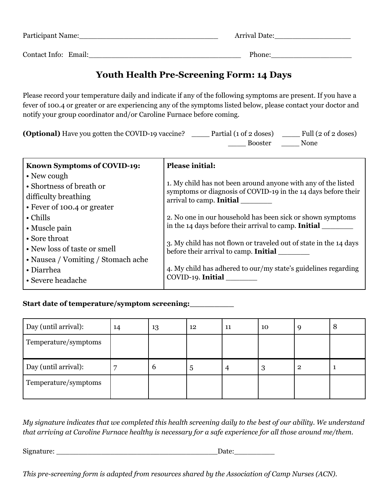| Participant Name:    | <b>Arrival Date:</b> |
|----------------------|----------------------|
| Contact Info: Email: | Phone:               |

### **Youth Health Pre-Screening Form: 14 Days**

Please record your temperature daily and indicate if any of the following symptoms are present. If you have a fever of 100.4 or greater or are experiencing any of the symptoms listed below, please contact your doctor and notify your group coordinator and/or Caroline Furnace before coming.

| <b>(Optional)</b> Have you gotten the COVID-19 vaccine? | Partial (1 of 2 doses) | Full $(2 \text{ of } 2 \text{ doses})$ |
|---------------------------------------------------------|------------------------|----------------------------------------|
|                                                         | <b>Booster</b>         | None                                   |

| Known Symptoms of COVID-19:        | <b>Please initial:</b>                                                                                                         |
|------------------------------------|--------------------------------------------------------------------------------------------------------------------------------|
| • New cough                        |                                                                                                                                |
| • Shortness of breath or           | 1. My child has not been around anyone with any of the listed<br>symptoms or diagnosis of COVID-19 in the 14 days before their |
| difficulty breathing               | arrival to camp. Initial                                                                                                       |
| • Fever of 100.4 or greater        |                                                                                                                                |
| $\cdot$ Chills                     | 2. No one in our household has been sick or shown symptoms                                                                     |
| • Muscle pain                      | in the 14 days before their arrival to camp. Initial                                                                           |
| • Sore throat                      | 3. My child has not flown or traveled out of state in the 14 days                                                              |
| • New loss of taste or smell       | before their arrival to camp. Initial                                                                                          |
| • Nausea / Vomiting / Stomach ache |                                                                                                                                |
| • Diarrhea                         | 4. My child has adhered to our/my state's guidelines regarding                                                                 |
| • Severe headache                  | COVID-19. Initial                                                                                                              |

### **Start date of temperature/symptom screening:\_\_\_\_\_\_\_\_\_**

| Day (until arrival): | 14 | 13 | 12 | 11 | 10 | Q | 8 |
|----------------------|----|----|----|----|----|---|---|
| Temperature/symptoms |    |    |    |    |    |   |   |
| Day (until arrival): |    | 6  | 5  | 4  | 3  | റ |   |
| Temperature/symptoms |    |    |    |    |    |   |   |

My signature indicates that we completed this health screening daily to the best of our ability. We understand that arriving at Caroline Furnace healthy is necessary for a safe experience for all those around me/them.

Signature: \_\_\_\_\_\_\_\_\_\_\_\_\_\_\_\_\_\_\_\_\_\_\_\_\_\_\_\_\_\_\_\_\_\_\_\_Date:\_\_\_\_\_\_\_\_\_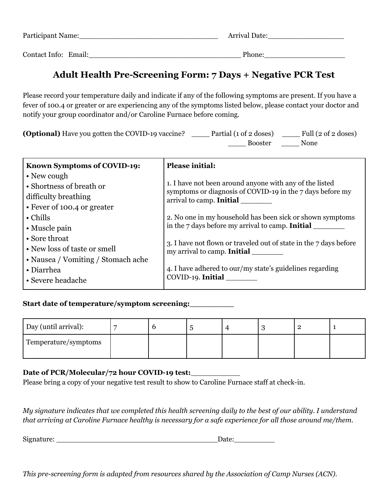| Participant Name:    | <b>Arrival Date:</b> |
|----------------------|----------------------|
| Contact Info: Email: | Phone:               |

# **Adult Health Pre-Screening Form: 7 Days + Negative PCR Test**

Please record your temperature daily and indicate if any of the following symptoms are present. If you have a fever of 100.4 or greater or are experiencing any of the symptoms listed below, please contact your doctor and notify your group coordinator and/or Caroline Furnace before coming.

| <b>(Optional)</b> Have you gotten the COVID-19 vaccine? | Partial (1 of 2 doses) | Full $(2 \text{ of } 2 \text{ doses})$ |
|---------------------------------------------------------|------------------------|----------------------------------------|
|                                                         | <b>Booster</b>         | None                                   |

| Known Symptoms of COVID-19:        | <b>Please initial:</b>                                                                                               |
|------------------------------------|----------------------------------------------------------------------------------------------------------------------|
| • New cough                        |                                                                                                                      |
| • Shortness of breath or           | 1. I have not been around anyone with any of the listed<br>symptoms or diagnosis of COVID-19 in the 7 days before my |
| difficulty breathing               | arrival to camp. Initial                                                                                             |
| • Fever of 100.4 or greater        |                                                                                                                      |
| $\cdot$ Chills                     | 2. No one in my household has been sick or shown symptoms                                                            |
| • Muscle pain                      | in the 7 days before my arrival to camp. Initial                                                                     |
| • Sore throat                      | 3. I have not flown or traveled out of state in the 7 days before                                                    |
| • New loss of taste or smell       | my arrival to camp. Initial                                                                                          |
| • Nausea / Vomiting / Stomach ache |                                                                                                                      |
| • Diarrhea                         | 4. I have adhered to our/my state's guidelines regarding                                                             |
| • Severe headache                  | COVID-19. Initial                                                                                                    |

### **Start date of temperature/symptom screening:\_\_\_\_\_\_\_\_\_**

| Day (until arrival): |  |  |  |  |
|----------------------|--|--|--|--|
| Temperature/symptoms |  |  |  |  |

### **Date of PCR/Molecular/72 hour COVID-19 test:**\_\_\_\_\_\_\_\_\_\_\_

Please bring a copy of your negative test result to show to Caroline Furnace staff at check-in.

My signature indicates that we completed this health screening daily to the best of our ability. I understand that arriving at Caroline Furnace healthy is necessary for a safe experience for all those around me/them.

| Sigr<br>$n \alpha$<br>v. |  |
|--------------------------|--|
|                          |  |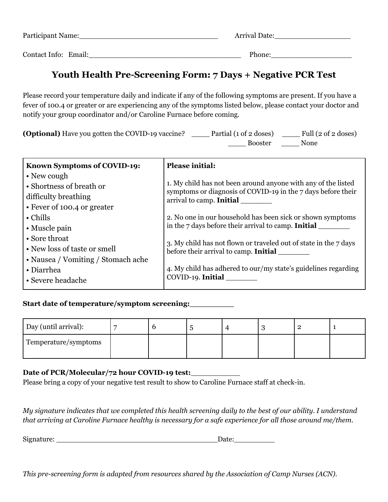| Participant Name:    | <b>Arrival Date:</b> |
|----------------------|----------------------|
| Contact Info: Email: | Phone:               |

# **Youth Health Pre-Screening Form: 7 Days + Negative PCR Test**

Please record your temperature daily and indicate if any of the following symptoms are present. If you have a fever of 100.4 or greater or are experiencing any of the symptoms listed below, please contact your doctor and notify your group coordinator and/or Caroline Furnace before coming.

| <b>(Optional)</b> Have you gotten the COVID-19 vaccine? | Partial (1 of 2 doses) | Full $(2 \text{ of } 2 \text{ doses})$ |
|---------------------------------------------------------|------------------------|----------------------------------------|
|                                                         | <b>Booster</b>         | None                                   |

| Known Symptoms of COVID-19:        | <b>Please initial:</b>                                                                   |
|------------------------------------|------------------------------------------------------------------------------------------|
| • New cough                        |                                                                                          |
| • Shortness of breath or           | 1. My child has not been around anyone with any of the listed                            |
| difficulty breathing               | symptoms or diagnosis of COVID-19 in the 7 days before their<br>arrival to camp. Initial |
| • Fever of 100.4 or greater        |                                                                                          |
| $\cdot$ Chills                     | 2. No one in our household has been sick or shown symptoms                               |
| • Muscle pain                      | in the 7 days before their arrival to camp. <b>Initial</b>                               |
| • Sore throat                      | 3. My child has not flown or traveled out of state in the 7 days                         |
| • New loss of taste or smell       | before their arrival to camp. Initial                                                    |
| • Nausea / Vomiting / Stomach ache |                                                                                          |
| • Diarrhea                         | 4. My child has adhered to our/my state's guidelines regarding                           |
| • Severe headache                  | COVID-19. Initial                                                                        |
|                                    |                                                                                          |

### **Start date of temperature/symptom screening:\_\_\_\_\_\_\_\_\_**

| Day (until arrival): |  |  |  |  |
|----------------------|--|--|--|--|
| Temperature/symptoms |  |  |  |  |

### **Date of PCR/Molecular/72 hour COVID-19 test:**\_\_\_\_\_\_\_\_\_\_\_

Please bring a copy of your negative test result to show to Caroline Furnace staff at check-in.

My signature indicates that we completed this health screening daily to the best of our ability. I understand that arriving at Caroline Furnace healthy is necessary for a safe experience for all those around me/them.

| Sigr<br>$n \alpha$<br>v. |  |
|--------------------------|--|
|                          |  |